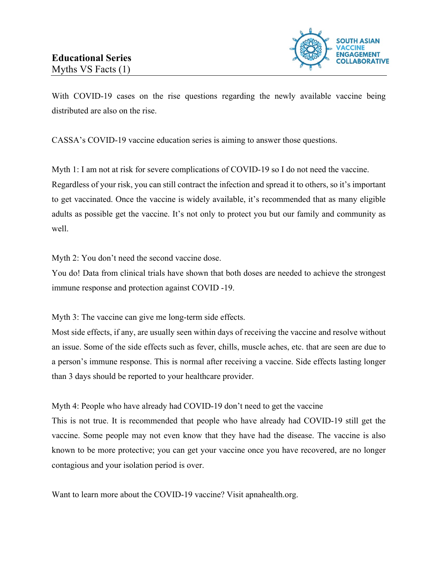

With COVID-19 cases on the rise questions regarding the newly available vaccine being distributed are also on the rise.

CASSA's COVID-19 vaccine education series is aiming to answer those questions.

Myth 1: I am not at risk for severe complications of COVID-19 so I do not need the vaccine. Regardless of your risk, you can still contract the infection and spread it to others, so it's important to get vaccinated. Once the vaccine is widely available, it's recommended that as many eligible adults as possible get the vaccine. It's not only to protect you but our family and community as well.

Myth 2: You don't need the second vaccine dose.

You do! Data from clinical trials have shown that both doses are needed to achieve the strongest immune response and protection against COVID -19.

Myth 3: The vaccine can give me long-term side effects.

Most side effects, if any, are usually seen within days of receiving the vaccine and resolve without an issue. Some of the side effects such as fever, chills, muscle aches, etc. that are seen are due to a person's immune response. This is normal after receiving a vaccine. Side effects lasting longer than 3 days should be reported to your healthcare provider.

## Myth 4: People who have already had COVID-19 don't need to get the vaccine

This is not true. It is recommended that people who have already had COVID-19 still get the vaccine. Some people may not even know that they have had the disease. The vaccine is also known to be more protective; you can get your vaccine once you have recovered, are no longer contagious and your isolation period is over.

Want to learn more about the COVID-19 vaccine? Visit apnahealth.org.